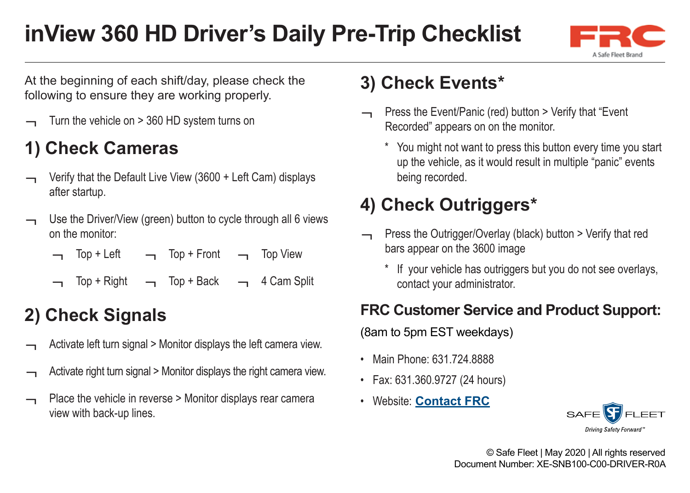# **inView 360 HD Driver's Daily Pre-Trip Checklist**



At the beginning of each shift/day, please check the following to ensure they are working properly.

Turn the vehicle on > 360 HD system turns on

## **1) Check Cameras**

- Verify that the Default Live View (3600 + Left Cam) displays after startup.
- Use the Driver/View (green) button to cycle through all 6 views on the monitor:
	- Top + Left Top + Front Top View
	- Top + Right Top + Back 4 Cam Split

#### **2) Check Signals**

- Activate left turn signal > Monitor displays the left camera view.
- Activate right turn signal > Monitor displays the right camera view.
- Place the vehicle in reverse > Monitor displays rear camera view with back-up lines.

#### **3) Check Events\***

- Press the Event/Panic (red) button > Verify that "Event Recorded" appears on on the monitor.
	- You might not want to press this button every time you start up the vehicle, as it would result in multiple "panic" events being recorded.

## **4) Check Outriggers\***

- Press the Outrigger/Overlay (black) button > Verify that red bars appear on the 3600 image
	- \* If your vehicle has outriggers but you do not see overlays, contact your administrator.

#### **FRC Customer Service and Product Support:**

(8am to 5pm EST weekdays)

- Main Phone: 631.724.8888
- Fax: 631.360.9727 (24 hours)
- Website: **[Contact FRC](https://www.fireresearch.com/frcnews/contact-frc)**



© Safe Fleet | May 2020 | All rights reserved Document Number: XE-SNB100-C00-DRIVER-R0A